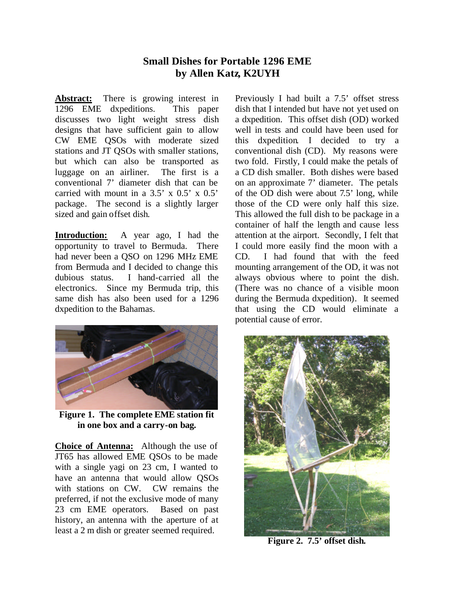## **Small Dishes for Portable 1296 EME by Allen Katz, K2UYH**

**Abstract:** There is growing interest in 1296 EME dxpeditions. This paper discusses two light weight stress dish designs that have sufficient gain to allow CW EME QSOs with moderate sized stations and JT QSOs with smaller stations, but which can also be transported as luggage on an airliner. The first is a conventional 7' diameter dish that can be carried with mount in a  $3.5' \times 0.5' \times 0.5'$ package. The second is a slightly larger sized and gain offset dish.

**Introduction:** A year ago, I had the opportunity to travel to Bermuda. There had never been a QSO on 1296 MHz EME from Bermuda and I decided to change this dubious status. I hand-carried all the electronics. Since my Bermuda trip, this same dish has also been used for a 1296 dxpedition to the Bahamas.



**Figure 1. The complete EME station fit in one box and a carry-on bag.**

**Choice of Antenna:** Although the use of JT65 has allowed EME QSOs to be made with a single yagi on 23 cm, I wanted to have an antenna that would allow QSOs with stations on CW. CW remains the preferred, if not the exclusive mode of many 23 cm EME operators. Based on past history, an antenna with the aperture of at least a 2 m dish or greater seemed required.

Previously I had built a 7.5' offset stress dish that I intended but have not yet used on a dxpedition. This offset dish (OD) worked well in tests and could have been used for this dxpedition. I decided to try a conventional dish (CD). My reasons were two fold. Firstly, I could make the petals of a CD dish smaller. Both dishes were based on an approximate 7' diameter. The petals of the OD dish were about 7.5' long, while those of the CD were only half this size. This allowed the full dish to be package in a container of half the length and cause less attention at the airport. Secondly, I felt that I could more easily find the moon with a CD. I had found that with the feed mounting arrangement of the OD, it was not always obvious where to point the dish. (There was no chance of a visible moon during the Bermuda dxpedition). It seemed that using the CD would eliminate a potential cause of error.



**Figure 2. 7.5' offset dish.**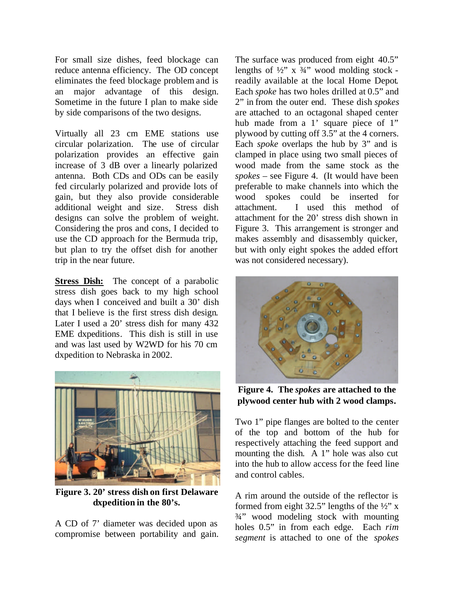For small size dishes, feed blockage can reduce antenna efficiency. The OD concept eliminates the feed blockage problem and is an major advantage of this design. Sometime in the future I plan to make side by side comparisons of the two designs.

Virtually all 23 cm EME stations use circular polarization. The use of circular polarization provides an effective gain increase of 3 dB over a linearly polarized antenna. Both CDs and ODs can be easily fed circularly polarized and provide lots of gain, but they also provide considerable additional weight and size. Stress dish designs can solve the problem of weight. Considering the pros and cons, I decided to use the CD approach for the Bermuda trip, but plan to try the offset dish for another trip in the near future.

**Stress Dish:** The concept of a parabolic stress dish goes back to my high school days when I conceived and built a 30' dish that I believe is the first stress dish design. Later I used a 20' stress dish for many 432 EME dxpeditions. This dish is still in use and was last used by W2WD for his 70 cm dxpedition to Nebraska in 2002.



**Figure 3. 20' stress dish on first Delaware dxpedition in the 80's.**

A CD of 7' diameter was decided upon as compromise between portability and gain.

The surface was produced from eight 40.5" lengths of  $\frac{1}{2}$ " x  $\frac{3}{4}$ " wood molding stock readily available at the local Home Depot. Each *spoke* has two holes drilled at 0.5" and 2" in from the outer end. These dish *spokes* are attached to an octagonal shaped center hub made from a 1' square piece of 1" plywood by cutting off 3.5" at the 4 corners. Each *spoke* overlaps the hub by 3" and is clamped in place using two small pieces of wood made from the same stock as the *spokes* – see Figure 4. (It would have been preferable to make channels into which the wood spokes could be inserted for attachment. I used this method of attachment for the 20' stress dish shown in Figure 3. This arrangement is stronger and makes assembly and disassembly quicker, but with only eight spokes the added effort was not considered necessary).



**Figure 4. The** *spokes* **are attached to the plywood center hub with 2 wood clamps.**

Two 1" pipe flanges are bolted to the center of the top and bottom of the hub for respectively attaching the feed support and mounting the dish. A 1" hole was also cut into the hub to allow access for the feed line and control cables.

A rim around the outside of the reflector is formed from eight 32.5" lengths of the  $\frac{1}{2}$ " x ¾" wood modeling stock with mounting holes 0.5" in from each edge. Each *rim segment* is attached to one of the *spokes*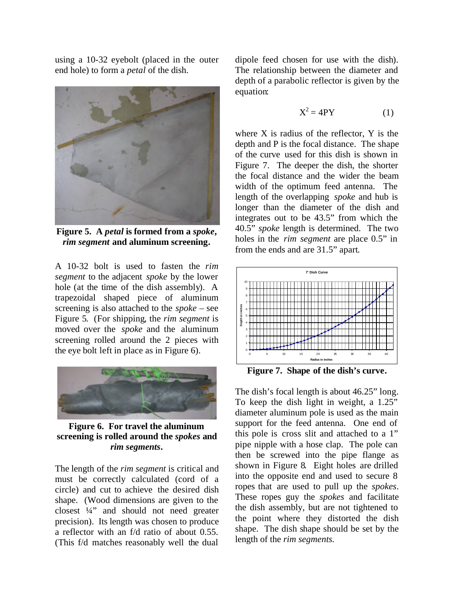using a 10-32 eyebolt (placed in the outer end hole) to form a *petal* of the dish.



**Figure 5. A** *petal* **is formed from a** *spoke***,**  *rim segment* **and aluminum screening.**

A 10-32 bolt is used to fasten the *rim segment* to the adjacent *spoke* by the lower hole (at the time of the dish assembly). A trapezoidal shaped piece of aluminum screening is also attached to the *spoke* – see Figure 5. (For shipping, the *rim segment* is moved over the *spoke* and the aluminum screening rolled around the 2 pieces with the eye bolt left in place as in Figure 6).



**Figure 6. For travel the aluminum screening is rolled around the** *spokes* **and**  *rim segments.*

The length of the *rim segment* is critical and must be correctly calculated (cord of a circle) and cut to achieve the desired dish shape. (Wood dimensions are given to the closest ¼" and should not need greater precision). Its length was chosen to produce a reflector with an f/d ratio of about 0.55. (This f/d matches reasonably well the dual

dipole feed chosen for use with the dish). The relationship between the diameter and depth of a parabolic reflector is given by the equation:

$$
X^2 = 4PY
$$
 (1)

where X is radius of the reflector, Y is the depth and P is the focal distance. The shape of the curve used for this dish is shown in Figure 7. The deeper the dish, the shorter the focal distance and the wider the beam width of the optimum feed antenna. The length of the overlapping *spoke* and hub is longer than the diameter of the dish and integrates out to be 43.5" from which the 40.5" *spoke* length is determined.The two holes in the *rim segment* are place 0.5" in from the ends and are 31.5" apart.



**Figure 7. Shape of the dish's curve.**

The dish's focal length is about 46.25" long. To keep the dish light in weight, a 1.25" diameter aluminum pole is used as the main support for the feed antenna. One end of this pole is cross slit and attached to a 1" pipe nipple with a hose clap. The pole can then be screwed into the pipe flange as shown in Figure 8. Eight holes are drilled into the opposite end and used to secure 8 ropes that are used to pull up the *spokes*. These ropes guy the *spokes* and facilitate the dish assembly, but are not tightened to the point where they distorted the dish shape. The dish shape should be set by the length of the *rim segments.*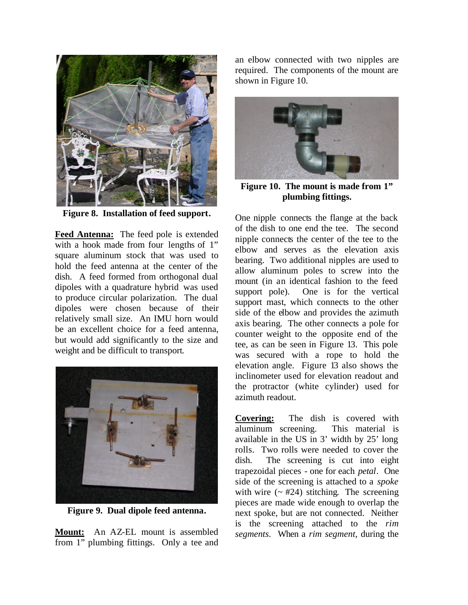

**Figure 8. Installation of feed support.**

**Feed Antenna:** The feed pole is extended with a hook made from four lengths of 1" square aluminum stock that was used to hold the feed antenna at the center of the dish. A feed formed from orthogonal dual dipoles with a quadrature hybrid was used to produce circular polarization. The dual dipoles were chosen because of their relatively small size. An IMU horn would be an excellent choice for a feed antenna, but would add significantly to the size and weight and be difficult to transport.



**Figure 9. Dual dipole feed antenna.**

**Mount:** An AZ-EL mount is assembled from 1" plumbing fittings. Only a tee and an elbow connected with two nipples are required. The components of the mount are shown in Figure 10.



**Figure 10. The mount is made from 1" plumbing fittings.**

One nipple connects the flange at the back of the dish to one end the tee. The second nipple connects the center of the tee to the elbow and serves as the elevation axis bearing. Two additional nipples are used to allow aluminum poles to screw into the mount (in an identical fashion to the feed support pole). One is for the vertical support mast, which connects to the other side of the elbow and provides the azimuth axis bearing. The other connects a pole for counter weight to the opposite end of the tee, as can be seen in Figure 13. This pole was secured with a rope to hold the elevation angle. Figure 13 also shows the inclinometer used for elevation readout and the protractor (white cylinder) used for azimuth readout.

**Covering:** The dish is covered with aluminum screening. This material is available in the US in 3' width by 25' long rolls. Two rolls were needed to cover the dish. The screening is cut into eight trapezoidal pieces - one for each *petal*. One side of the screening is attached to a *spoke* with wire  $($   $\approx$  #24) stitching. The screening pieces are made wide enough to overlap the next spoke, but are not connected. Neither is the screening attached to the *rim segments.* When a *rim segment,* during the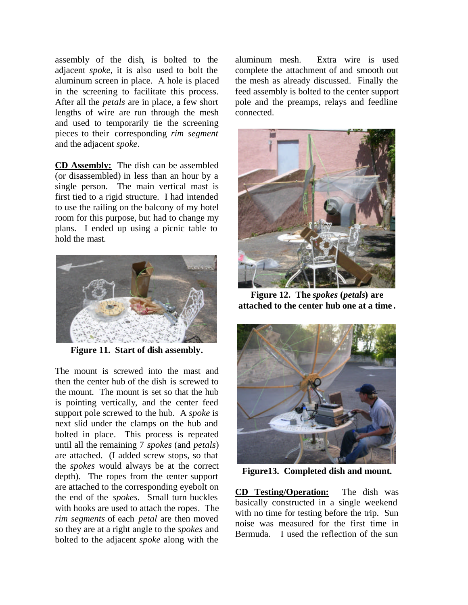assembly of the dish, is bolted to the adjacent *spoke*, it is also used to bolt the aluminum screen in place. A hole is placed in the screening to facilitate this process. After all the *petals* are in place, a few short lengths of wire are run through the mesh and used to temporarily tie the screening pieces to their corresponding *rim segment* and the adjacent *spoke*.

**CD Assembly:** The dish can be assembled (or disassembled) in less than an hour by a single person. The main vertical mast is first tied to a rigid structure. I had intended to use the railing on the balcony of my hotel room for this purpose, but had to change my plans. I ended up using a picnic table to hold the mast.



**Figure 11. Start of dish assembly.**

The mount is screwed into the mast and then the center hub of the dish is screwed to the mount. The mount is set so that the hub is pointing vertically, and the center feed support pole screwed to the hub. A *spoke* is next slid under the clamps on the hub and bolted in place. This process is repeated until all the remaining 7 *spokes* (and *petals*) are attached. (I added screw stops, so that the *spokes* would always be at the correct depth). The ropes from the center support are attached to the corresponding eyebolt on the end of the *spokes*. Small turn buckles with hooks are used to attach the ropes. The *rim segments* of each *petal* are then moved so they are at a right angle to the *spokes* and bolted to the adjacent *spoke* along with the

aluminum mesh. Extra wire is used complete the attachment of and smooth out the mesh as already discussed. Finally the feed assembly is bolted to the center support pole and the preamps, relays and feedline connected.



**Figure 12. The** *spokes* **(***petals***) are attached to the center hub one at a time .**



**Figure13. Completed dish and mount.**

**CD Testing/Operation:** The dish was basically constructed in a single weekend with no time for testing before the trip. Sun noise was measured for the first time in Bermuda. I used the reflection of the sun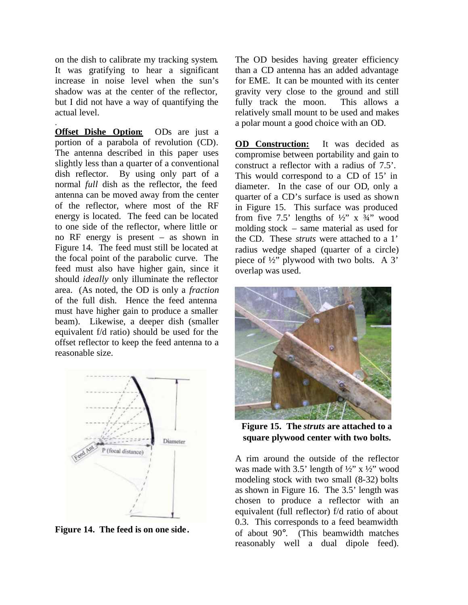on the dish to calibrate my tracking system. It was gratifying to hear a significant increase in noise level when the sun's shadow was at the center of the reflector, but I did not have a way of quantifying the actual level.

.

**Offset Dishe Option:** ODs are just a portion of a parabola of revolution (CD). The antenna described in this paper uses slightly less than a quarter of a conventional dish reflector. By using only part of a normal *full* dish as the reflector, the feed antenna can be moved away from the center of the reflector, where most of the RF energy is located. The feed can be located to one side of the reflector, where little or no RF energy is present – as shown in Figure 14. The feed must still be located at the focal point of the parabolic curve. The feed must also have higher gain, since it should *ideally* only illuminate the reflector area. (As noted, the OD is only a *fraction* of the full dish. Hence the feed antenna must have higher gain to produce a smaller beam). Likewise, a deeper dish (smaller equivalent f/d ratio) should be used for the offset reflector to keep the feed antenna to a reasonable size.



**Figure 14. The feed is on one side.**

The OD besides having greater efficiency than a CD antenna has an added advantage for EME. It can be mounted with its center gravity very close to the ground and still fully track the moon. This allows a relatively small mount to be used and makes a polar mount a good choice with an OD.

**OD Construction:** It was decided as compromise between portability and gain to construct a reflector with a radius of 7.5'. This would correspond to a CD of 15' in diameter. In the case of our OD, only a quarter of a CD's surface is used as shown in Figure 15. This surface was produced from five 7.5' lengths of  $\frac{1}{2}$ " x  $\frac{3}{4}$ " wood molding stock – same material as used for the CD. These *struts* were attached to a 1' radius wedge shaped (quarter of a circle) piece of ½" plywood with two bolts. A 3' overlap was used.



**Figure 15. The** *struts* **are attached to a square plywood center with two bolts.**

A rim around the outside of the reflector was made with 3.5' length of  $\frac{1}{2}$ " x  $\frac{1}{2}$ " wood modeling stock with two small (8-32) bolts as shown in Figure 16. The 3.5' length was chosen to produce a reflector with an equivalent (full reflector) f/d ratio of about 0.3. This corresponds to a feed beamwidth of about 90°. (This beamwidth matches reasonably well a dual dipole feed).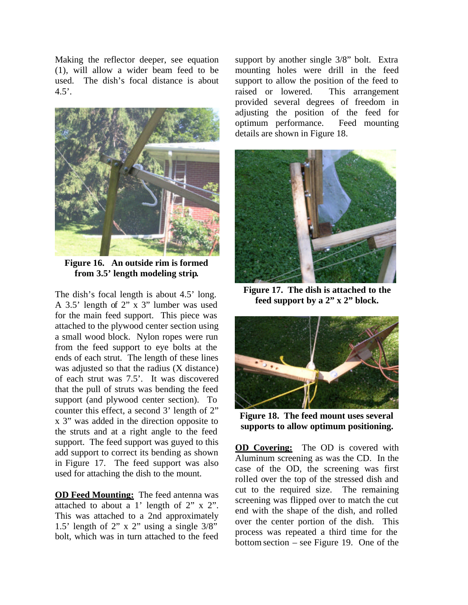Making the reflector deeper, see equation (1), will allow a wider beam feed to be used. The dish's focal distance is about  $4.5'$ .



**Figure 16. An outside rim is formed from 3.5' length modeling strip.**

The dish's focal length is about 4.5' long. A 3.5' length of 2" x 3" lumber was used for the main feed support. This piece was attached to the plywood center section using a small wood block. Nylon ropes were run from the feed support to eye bolts at the ends of each strut. The length of these lines was adjusted so that the radius (X distance) of each strut was 7.5'. It was discovered that the pull of struts was bending the feed support (and plywood center section). To counter this effect, a second 3' length of 2" x 3" was added in the direction opposite to the struts and at a right angle to the feed support. The feed support was guyed to this add support to correct its bending as shown in Figure 17. The feed support was also used for attaching the dish to the mount.

**OD Feed Mounting:** The feed antenna was attached to about a 1' length of 2" x 2". This was attached to a 2nd approximately 1.5' length of 2" x 2" using a single  $3/8$ " bolt, which was in turn attached to the feed

support by another single 3/8" bolt. Extra mounting holes were drill in the feed support to allow the position of the feed to raised or lowered. This arrangement provided several degrees of freedom in adjusting the position of the feed for optimum performance. Feed mounting details are shown in Figure 18.



**Figure 17. The dish is attached to the feed support by a 2" x 2" block.**



**Figure 18. The feed mount uses several supports to allow optimum positioning.**

**OD Covering:** The OD is covered with Aluminum screening as was the CD. In the case of the OD, the screening was first rolled over the top of the stressed dish and cut to the required size. The remaining screening was flipped over to match the cut end with the shape of the dish, and rolled over the center portion of the dish. This process was repeated a third time for the bottom section – see Figure 19. One of the